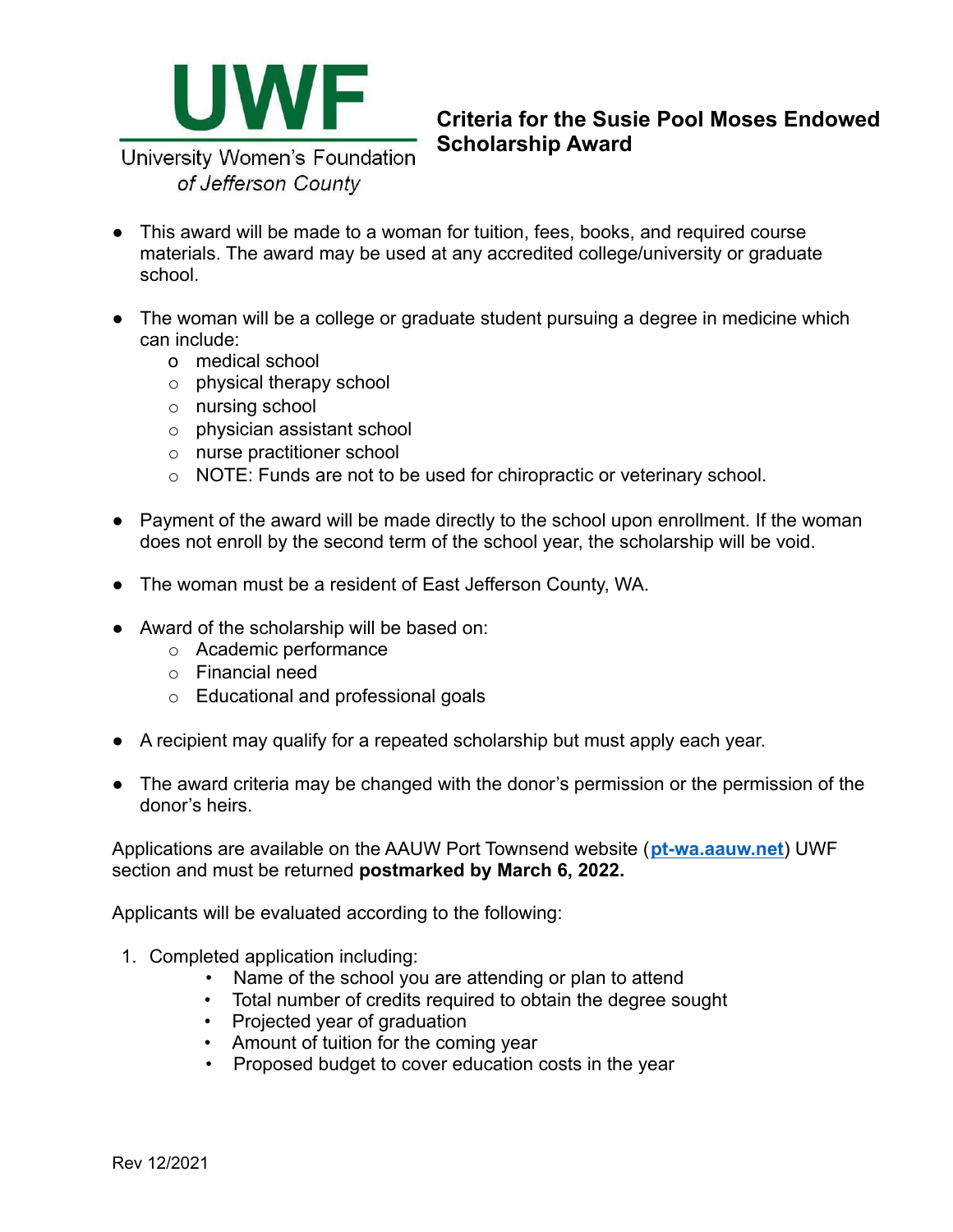

## **Criteria for the Susie Pool Moses Endowed Scholarship Award**

University Women's Foundation of Jefferson County

- This award will be made to a woman for tuition, fees, books, and required course materials. The award may be used at any accredited college/university or graduate school.
- The woman will be a college or graduate student pursuing a degree in medicine which can include:
	- o medical school
	- o physical therapy school
	- o nursing school
	- o physician assistant school
	- o nurse practitioner school
	- o NOTE: Funds are not to be used for chiropractic or veterinary school.
- Payment of the award will be made directly to the school upon enrollment. If the woman does not enroll by the second term of the school year, the scholarship will be void.
- The woman must be a resident of East Jefferson County, WA.
- Award of the scholarship will be based on:
	- o Academic performance
	- o Financial need
	- o Educational and professional goals
- A recipient may qualify for a repeated scholarship but must apply each year.
- The award criteria may be changed with the donor's permission or the permission of the donor's heirs.

Applications are available on the AAUW Port Townsend website (**[pt-wa.aauw.net](https://pt-wa.aauw.net/university-womens-foundation-uwf/scholarships/)**) UWF section and must be returned **postmarked by March 6, 2022.**

Applicants will be evaluated according to the following:

- 1. Completed application including:
	- Name of the school you are attending or plan to attend
	- Total number of credits required to obtain the degree sought
	- Projected year of graduation
	- Amount of tuition for the coming year
	- Proposed budget to cover education costs in the year